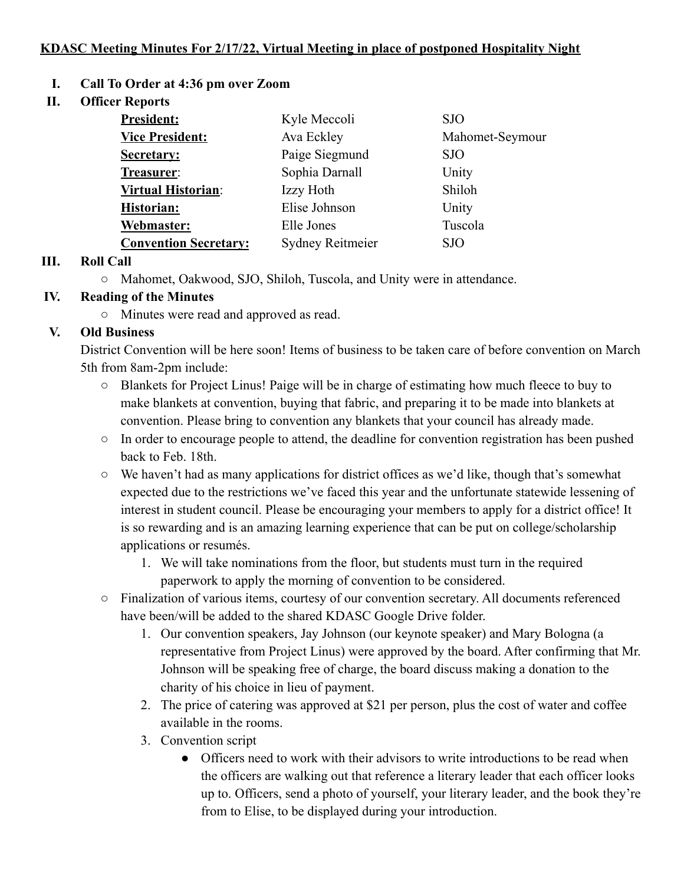# **KDASC Meeting Minutes For 2/17/22, Virtual Meeting in place of postponed Hospitality Night**

- **I. Call To Order at 4:36 pm over Zoom**
- **II. Officer Reports**

| <b>President:</b>            | Kyle Meccoli            | <b>SJO</b>      |
|------------------------------|-------------------------|-----------------|
| <b>Vice President:</b>       | Ava Eckley              | Mahomet-Seymour |
| Secretary:                   | Paige Siegmund          | <b>SJO</b>      |
| Treasurer:                   | Sophia Darnall          | Unity           |
| <b>Virtual Historian:</b>    | Izzy Hoth               | Shiloh          |
| <b>Historian:</b>            | Elise Johnson           | Unity           |
| Webmaster:                   | Elle Jones              | Tuscola         |
| <b>Convention Secretary:</b> | <b>Sydney Reitmeier</b> | <b>SJO</b>      |

# **III. Roll Call**

○ Mahomet, Oakwood, SJO, Shiloh, Tuscola, and Unity were in attendance.

# **IV. Reading of the Minutes**

○ Minutes were read and approved as read.

# **V. Old Business**

District Convention will be here soon! Items of business to be taken care of before convention on March 5th from 8am-2pm include:

- Blankets for Project Linus! Paige will be in charge of estimating how much fleece to buy to make blankets at convention, buying that fabric, and preparing it to be made into blankets at convention. Please bring to convention any blankets that your council has already made.
- In order to encourage people to attend, the deadline for convention registration has been pushed back to Feb. 18th.
- We haven't had as many applications for district offices as we'd like, though that's somewhat expected due to the restrictions we've faced this year and the unfortunate statewide lessening of interest in student council. Please be encouraging your members to apply for a district office! It is so rewarding and is an amazing learning experience that can be put on college/scholarship applications or resumés.
	- 1. We will take nominations from the floor, but students must turn in the required paperwork to apply the morning of convention to be considered.
- Finalization of various items, courtesy of our convention secretary. All documents referenced have been/will be added to the shared KDASC Google Drive folder.
	- 1. Our convention speakers, Jay Johnson (our keynote speaker) and Mary Bologna (a representative from Project Linus) were approved by the board. After confirming that Mr. Johnson will be speaking free of charge, the board discuss making a donation to the charity of his choice in lieu of payment.
	- 2. The price of catering was approved at \$21 per person, plus the cost of water and coffee available in the rooms.
	- 3. Convention script
		- Officers need to work with their advisors to write introductions to be read when the officers are walking out that reference a literary leader that each officer looks up to. Officers, send a photo of yourself, your literary leader, and the book they're from to Elise, to be displayed during your introduction.